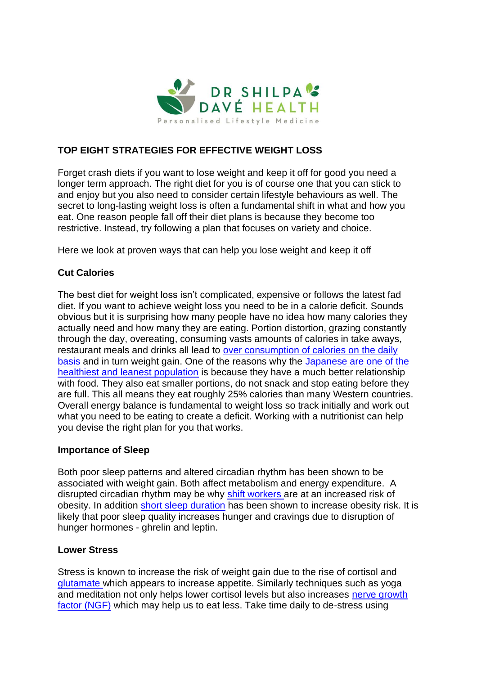

## **TOP EIGHT STRATEGIES FOR EFFECTIVE WEIGHT LOSS**

Forget crash diets if you want to lose weight and keep it off for good you need a longer term approach. The right diet for you is of course one that you can stick to and enjoy but you also need to consider certain lifestyle behaviours as well. The secret to long-lasting weight loss is often a fundamental shift in what and how you eat. One reason people fall off their diet plans is because they become too restrictive. Instead, try following a plan that focuses on variety and choice.

Here we look at proven ways that can help you lose weight and keep it off

# **Cut Calories**

The best diet for weight loss isn't complicated, expensive or follows the latest fad diet. If you want to achieve weight loss you need to be in a calorie deficit. Sounds obvious but it is surprising how many people have no idea how many calories they actually need and how many they are eating. Portion distortion, grazing constantly through the day, overeating, consuming vasts amounts of calories in take aways, restaurant meals and drinks all lead to [over consumption of calories on the daily](https://www.ncbi.nlm.nih.gov/pubmed/19828708/)  [basis](https://www.ncbi.nlm.nih.gov/pubmed/19828708/) and in turn weight gain. One of the reasons why the [Japanese are one of the](https://www.ibtimes.com/japan-has-many-problems-obesity-isnt-one-them-1038090)  [healthiest and leanest population](https://www.ibtimes.com/japan-has-many-problems-obesity-isnt-one-them-1038090) is because they have a much better relationship with food. They also eat smaller portions, do not snack and stop eating before they are full. This all means they eat roughly 25% calories than many Western countries. Overall energy balance is fundamental to weight loss so track initially and work out what you need to be eating to create a deficit. Working with a nutritionist can help you devise the right plan for you that works.

### **Importance of Sleep**

Both poor sleep patterns and altered circadian rhythm has been shown to be associated with weight gain. Both affect metabolism and energy expenditure. A disrupted circadian rhythm may be why [shift workers a](https://www.ncbi.nlm.nih.gov/pubmed/20122305)re at an increased risk of obesity. In addition [short sleep duration](https://www.ncbi.nlm.nih.gov/pmc/articles/PMC2398753/) has been shown to increase obesity risk. It is likely that poor sleep quality increases hunger and cravings due to disruption of hunger hormones - ghrelin and leptin.

### **Lower Stress**

Stress is known to increase the risk of weight gain due to the rise of cortisol and [glutamate w](https://www.ncbi.nlm.nih.gov/pubmed/16132059)hich appears to increase appetite. Similarly techniques such as yoga and meditation not only helps lower cortisol levels but also increases [nerve growth](https://www.ncbi.nlm.nih.gov/pubmed/25101659)  [factor \(NGF\)](https://www.ncbi.nlm.nih.gov/pubmed/25101659) which may help us to eat less. Take time daily to de-stress using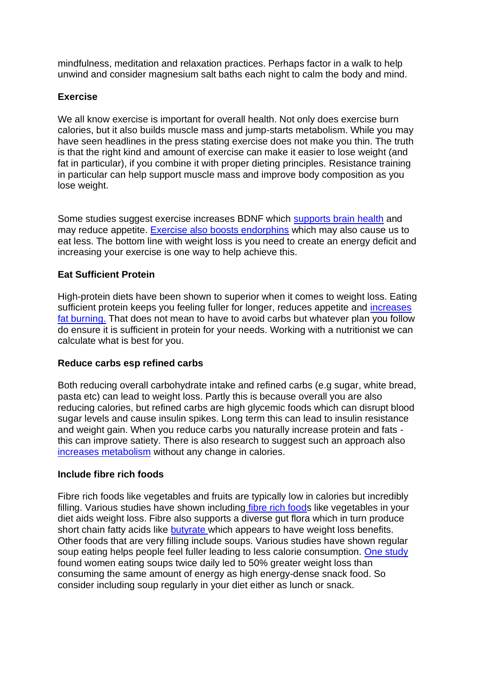mindfulness, meditation and relaxation practices. Perhaps factor in a walk to help unwind and consider magnesium salt baths each night to calm the body and mind.

### **Exercise**

We all know exercise is important for overall health. Not only does exercise burn calories, but it also builds muscle mass and jump-starts metabolism. While you may have seen headlines in the press stating exercise does not make you thin. The truth is that the right kind and amount of exercise can make it easier to lose weight (and fat in particular), if you combine it with proper dieting principles. Resistance training in particular can help support muscle mass and improve body composition as you lose weight.

Some studies suggest exercise increases BDNF which [supports brain health](https://www.frontiersin.org/articles/10.3389/neuro.24.005.2010/full) and may reduce appetite. [Exercise also boosts endorphins](https://www.news-medical.net/news/20120717/Mu-opioid-receptors-put-brakes-on-appetite.aspx) which may also cause us to eat less. The bottom line with weight loss is you need to create an energy deficit and increasing your exercise is one way to help achieve this.

### **Eat Sufficient Protein**

High-protein diets have been shown to superior when it comes to weight loss. Eating sufficient protein keeps you feeling fuller for longer, reduces appetite and increases [fat burning.](https://www.ncbi.nlm.nih.gov/pubmed/10193874) That does not mean to have to avoid carbs but whatever plan you follow do ensure it is sufficient in protein for your needs. Working with a nutritionist we can calculate what is best for you.

### **Reduce carbs esp refined carbs**

Both reducing overall carbohydrate intake and refined carbs (e.g sugar, white bread, pasta etc) can lead to weight loss. Partly this is because overall you are also reducing calories, but refined carbs are high glycemic foods which can disrupt blood sugar levels and cause insulin spikes. Long term this can lead to insulin resistance and weight gain. When you reduce carbs you naturally increase protein and fats this can improve satiety. There is also research to suggest such an approach also [increases metabolism](https://jamanetwork.com/journals/jama/fullarticle/1199154) without any change in calories.

### **Include fibre rich foods**

Fibre rich foods like vegetables and fruits are typically low in calories but incredibly filling. Various studies have shown including [fibre rich foods](https://www.sciencedirect.com/science/article/abs/pii/S019566639790091X) like vegetables in your diet aids weight loss. Fibre also supports a diverse gut flora which in turn produce short chain fatty acids like **butyrate** which appears to have weight loss benefits. Other foods that are very filling include soups. Various studies have shown regular soup eating helps people feel fuller leading to less calorie consumption. [One study](https://www.ncbi.nlm.nih.gov/pubmed/15976148) found women eating soups twice daily led to 50% greater weight loss than consuming the same amount of energy as high energy-dense snack food. So consider including soup regularly in your diet either as lunch or snack.